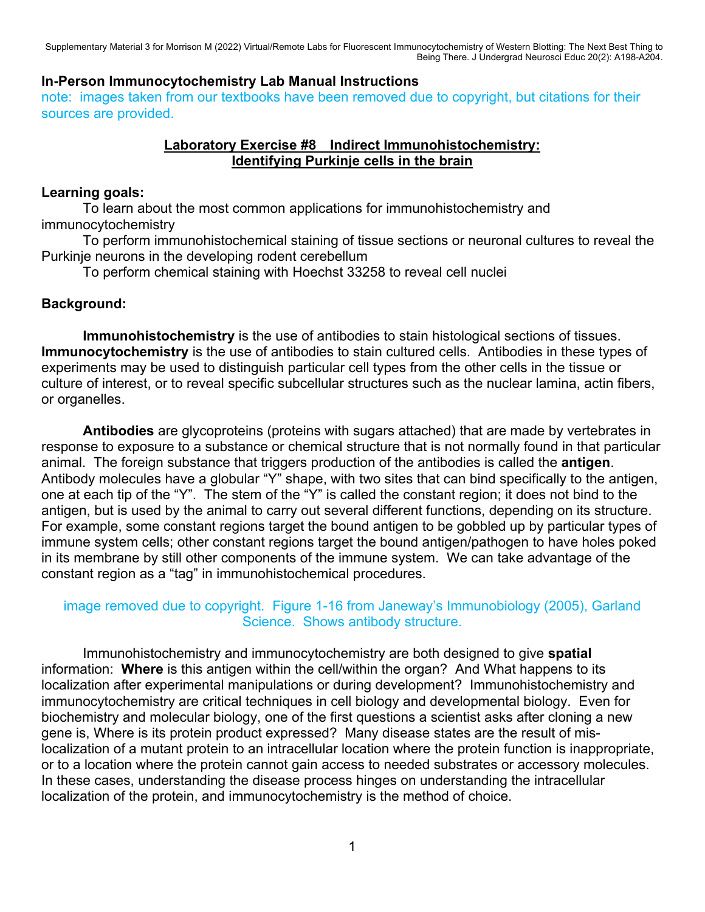## **In-Person Immunocytochemistry Lab Manual Instructions**

note: images taken from our textbooks have been removed due to copyright, but citations for their sources are provided.

## **Laboratory Exercise #8 Indirect Immunohistochemistry: Identifying Purkinje cells in the brain**

#### **Learning goals:**

 To learn about the most common applications for immunohistochemistry and immunocytochemistry

 To perform immunohistochemical staining of tissue sections or neuronal cultures to reveal the Purkinje neurons in the developing rodent cerebellum

To perform chemical staining with Hoechst 33258 to reveal cell nuclei

## **Background:**

**Immunohistochemistry** is the use of antibodies to stain histological sections of tissues. **Immunocytochemistry** is the use of antibodies to stain cultured cells. Antibodies in these types of experiments may be used to distinguish particular cell types from the other cells in the tissue or culture of interest, or to reveal specific subcellular structures such as the nuclear lamina, actin fibers, or organelles.

**Antibodies** are glycoproteins (proteins with sugars attached) that are made by vertebrates in response to exposure to a substance or chemical structure that is not normally found in that particular animal. The foreign substance that triggers production of the antibodies is called the **antigen**. Antibody molecules have a globular "Y" shape, with two sites that can bind specifically to the antigen, one at each tip of the "Y". The stem of the "Y" is called the constant region; it does not bind to the antigen, but is used by the animal to carry out several different functions, depending on its structure. For example, some constant regions target the bound antigen to be gobbled up by particular types of immune system cells; other constant regions target the bound antigen/pathogen to have holes poked in its membrane by still other components of the immune system. We can take advantage of the constant region as a "tag" in immunohistochemical procedures.

## image removed due to copyright. Figure 1-16 from Janeway's Immunobiology (2005), Garland Science. Shows antibody structure.

 Immunohistochemistry and immunocytochemistry are both designed to give **spatial** information: **Where** is this antigen within the cell/within the organ? And What happens to its localization after experimental manipulations or during development? Immunohistochemistry and immunocytochemistry are critical techniques in cell biology and developmental biology. Even for biochemistry and molecular biology, one of the first questions a scientist asks after cloning a new gene is, Where is its protein product expressed? Many disease states are the result of mislocalization of a mutant protein to an intracellular location where the protein function is inappropriate, or to a location where the protein cannot gain access to needed substrates or accessory molecules. In these cases, understanding the disease process hinges on understanding the intracellular localization of the protein, and immunocytochemistry is the method of choice.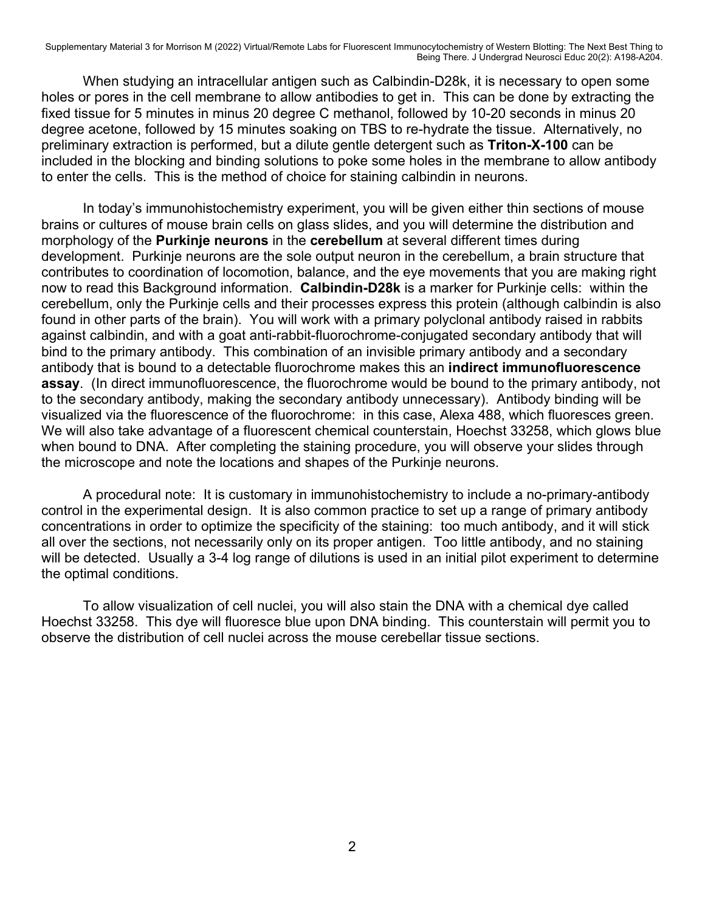When studying an intracellular antigen such as Calbindin-D28k, it is necessary to open some holes or pores in the cell membrane to allow antibodies to get in. This can be done by extracting the fixed tissue for 5 minutes in minus 20 degree C methanol, followed by 10-20 seconds in minus 20 degree acetone, followed by 15 minutes soaking on TBS to re-hydrate the tissue. Alternatively, no preliminary extraction is performed, but a dilute gentle detergent such as **Triton-X-100** can be included in the blocking and binding solutions to poke some holes in the membrane to allow antibody to enter the cells. This is the method of choice for staining calbindin in neurons.

 In today's immunohistochemistry experiment, you will be given either thin sections of mouse brains or cultures of mouse brain cells on glass slides, and you will determine the distribution and morphology of the **Purkinje neurons** in the **cerebellum** at several different times during development. Purkinje neurons are the sole output neuron in the cerebellum, a brain structure that contributes to coordination of locomotion, balance, and the eye movements that you are making right now to read this Background information. **Calbindin-D28k** is a marker for Purkinje cells: within the cerebellum, only the Purkinje cells and their processes express this protein (although calbindin is also found in other parts of the brain). You will work with a primary polyclonal antibody raised in rabbits against calbindin, and with a goat anti-rabbit-fluorochrome-conjugated secondary antibody that will bind to the primary antibody. This combination of an invisible primary antibody and a secondary antibody that is bound to a detectable fluorochrome makes this an **indirect immunofluorescence assay**. (In direct immunofluorescence, the fluorochrome would be bound to the primary antibody, not to the secondary antibody, making the secondary antibody unnecessary). Antibody binding will be visualized via the fluorescence of the fluorochrome: in this case, Alexa 488, which fluoresces green. We will also take advantage of a fluorescent chemical counterstain, Hoechst 33258, which glows blue when bound to DNA. After completing the staining procedure, you will observe your slides through the microscope and note the locations and shapes of the Purkinje neurons.

 A procedural note: It is customary in immunohistochemistry to include a no-primary-antibody control in the experimental design. It is also common practice to set up a range of primary antibody concentrations in order to optimize the specificity of the staining: too much antibody, and it will stick all over the sections, not necessarily only on its proper antigen. Too little antibody, and no staining will be detected. Usually a 3-4 log range of dilutions is used in an initial pilot experiment to determine the optimal conditions.

 To allow visualization of cell nuclei, you will also stain the DNA with a chemical dye called Hoechst 33258. This dye will fluoresce blue upon DNA binding. This counterstain will permit you to observe the distribution of cell nuclei across the mouse cerebellar tissue sections.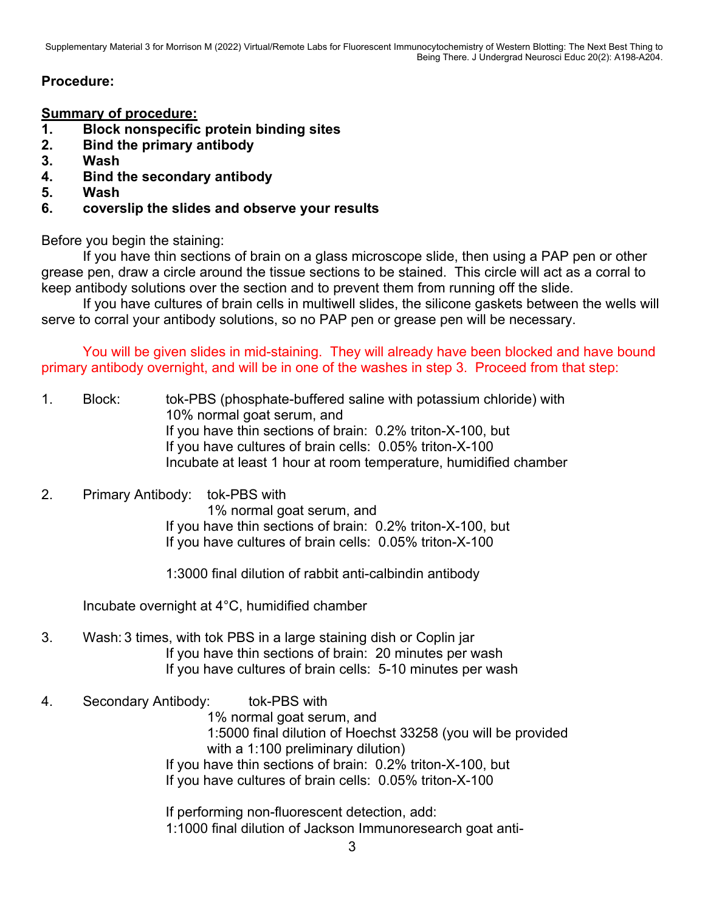# **Procedure:**

**Summary of procedure:** 

- **1. Block nonspecific protein binding sites**
- **2. Bind the primary antibody**
- **3. Wash**
- **4. Bind the secondary antibody**
- **5. Wash**
- **6. coverslip the slides and observe your results**

Before you begin the staining:

If you have thin sections of brain on a glass microscope slide, then using a PAP pen or other grease pen, draw a circle around the tissue sections to be stained. This circle will act as a corral to keep antibody solutions over the section and to prevent them from running off the slide.

If you have cultures of brain cells in multiwell slides, the silicone gaskets between the wells will serve to corral your antibody solutions, so no PAP pen or grease pen will be necessary.

 You will be given slides in mid-staining. They will already have been blocked and have bound primary antibody overnight, and will be in one of the washes in step 3. Proceed from that step:

- 1. Block: tok-PBS (phosphate-buffered saline with potassium chloride) with 10% normal goat serum, and If you have thin sections of brain: 0.2% triton-X-100, but If you have cultures of brain cells: 0.05% triton-X-100 Incubate at least 1 hour at room temperature, humidified chamber
- 2. Primary Antibody: tok-PBS with

 1% normal goat serum, and If you have thin sections of brain: 0.2% triton-X-100, but If you have cultures of brain cells: 0.05% triton-X-100

1:3000 final dilution of rabbit anti-calbindin antibody

Incubate overnight at 4°C, humidified chamber

- 3. Wash: 3 times, with tok PBS in a large staining dish or Coplin jar If you have thin sections of brain: 20 minutes per wash If you have cultures of brain cells: 5-10 minutes per wash
- 4. Secondary Antibody: tok-PBS with

 1% normal goat serum, and 1:5000 final dilution of Hoechst 33258 (you will be provided with a 1:100 preliminary dilution) If you have thin sections of brain: 0.2% triton-X-100, but If you have cultures of brain cells: 0.05% triton-X-100

 If performing non-fluorescent detection, add: 1:1000 final dilution of Jackson Immunoresearch goat anti-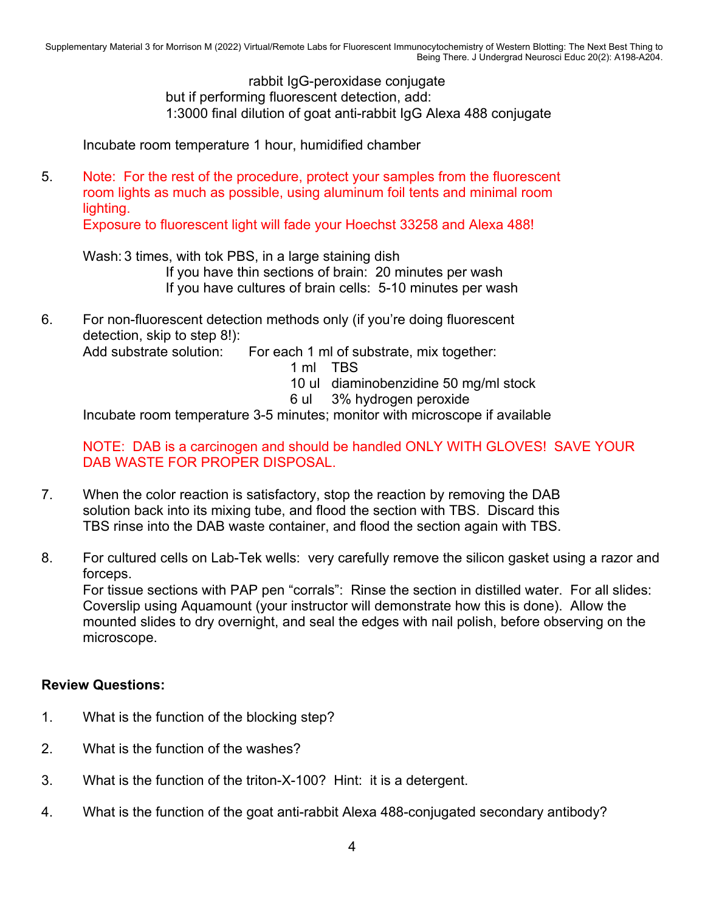rabbit IgG-peroxidase conjugate but if performing fluorescent detection, add: 1:3000 final dilution of goat anti-rabbit IgG Alexa 488 conjugate

Incubate room temperature 1 hour, humidified chamber

5. Note: For the rest of the procedure, protect your samples from the fluorescent room lights as much as possible, using aluminum foil tents and minimal room lighting.

Exposure to fluorescent light will fade your Hoechst 33258 and Alexa 488!

Wash: 3 times, with tok PBS, in a large staining dish If you have thin sections of brain: 20 minutes per wash If you have cultures of brain cells: 5-10 minutes per wash

6. For non-fluorescent detection methods only (if you're doing fluorescent detection, skip to step 8!): Add substrate solution: For each 1 ml of substrate, mix together:

1 ml TBS

10 ul diaminobenzidine 50 mg/ml stock

6 ul 3% hydrogen peroxide

Incubate room temperature 3-5 minutes; monitor with microscope if available

NOTE: DAB is a carcinogen and should be handled ONLY WITH GLOVES! SAVE YOUR DAB WASTE FOR PROPER DISPOSAL.

- 7. When the color reaction is satisfactory, stop the reaction by removing the DAB solution back into its mixing tube, and flood the section with TBS. Discard this TBS rinse into the DAB waste container, and flood the section again with TBS.
- 8. For cultured cells on Lab-Tek wells: very carefully remove the silicon gasket using a razor and forceps.

For tissue sections with PAP pen "corrals": Rinse the section in distilled water. For all slides: Coverslip using Aquamount (your instructor will demonstrate how this is done). Allow the mounted slides to dry overnight, and seal the edges with nail polish, before observing on the microscope.

# **Review Questions:**

- 1. What is the function of the blocking step?
- 2. What is the function of the washes?
- 3. What is the function of the triton-X-100? Hint: it is a detergent.
- 4. What is the function of the goat anti-rabbit Alexa 488-conjugated secondary antibody?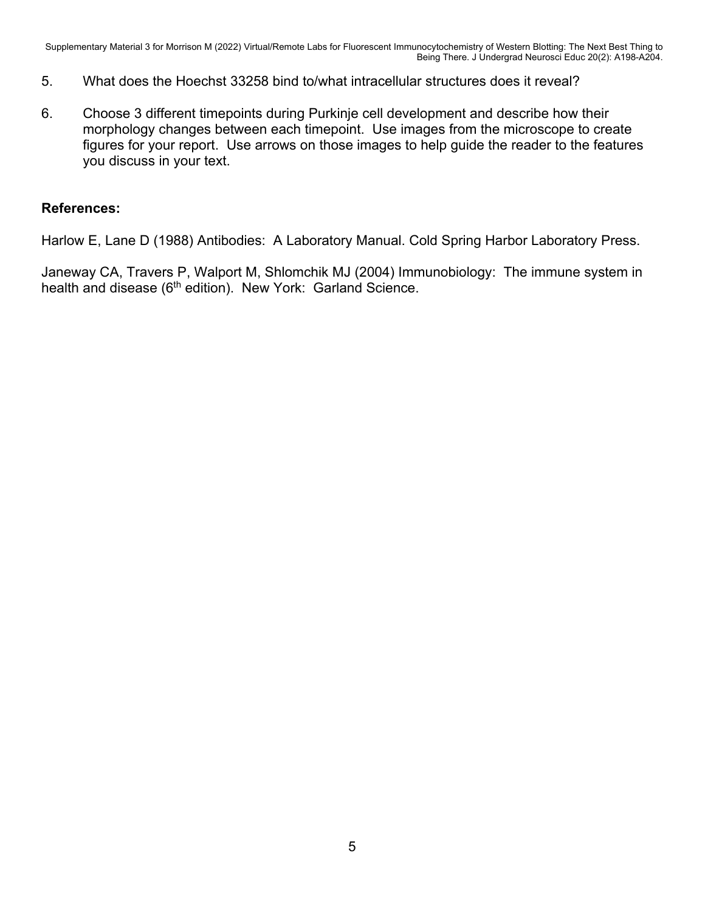- 5. What does the Hoechst 33258 bind to/what intracellular structures does it reveal?
- 6. Choose 3 different timepoints during Purkinje cell development and describe how their morphology changes between each timepoint. Use images from the microscope to create figures for your report. Use arrows on those images to help guide the reader to the features you discuss in your text.

## **References:**

Harlow E, Lane D (1988) Antibodies: A Laboratory Manual. Cold Spring Harbor Laboratory Press.

Janeway CA, Travers P, Walport M, Shlomchik MJ (2004) Immunobiology: The immune system in health and disease (6<sup>th</sup> edition). New York: Garland Science.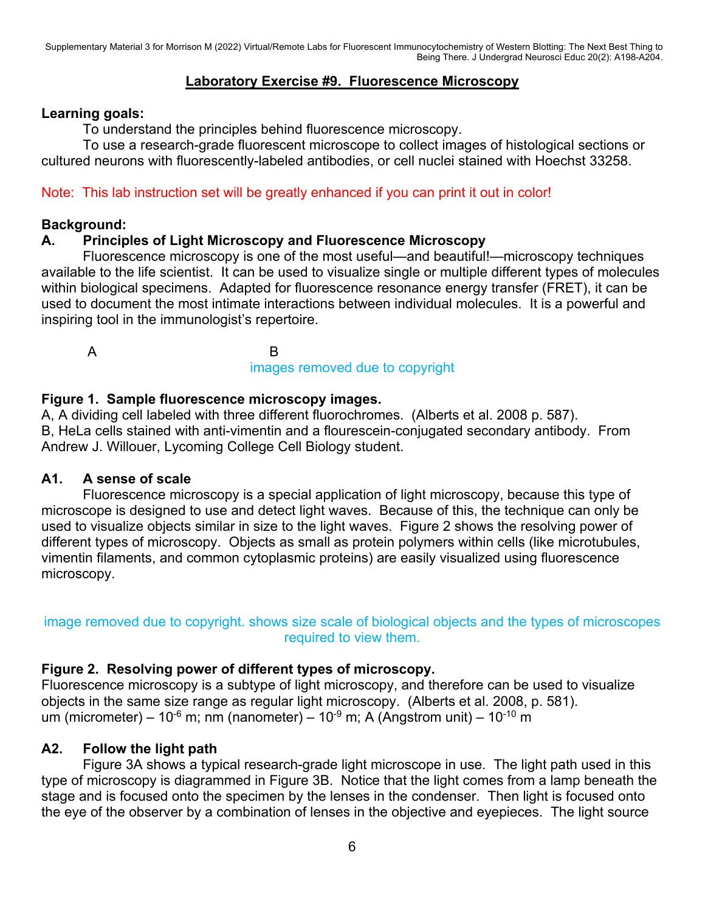# **Laboratory Exercise #9. Fluorescence Microscopy**

#### **Learning goals:**

To understand the principles behind fluorescence microscopy.

 To use a research-grade fluorescent microscope to collect images of histological sections or cultured neurons with fluorescently-labeled antibodies, or cell nuclei stained with Hoechst 33258.

Note: This lab instruction set will be greatly enhanced if you can print it out in color!

#### **Background:**

#### **A. Principles of Light Microscopy and Fluorescence Microscopy**

 Fluorescence microscopy is one of the most useful—and beautiful!—microscopy techniques available to the life scientist. It can be used to visualize single or multiple different types of molecules within biological specimens. Adapted for fluorescence resonance energy transfer (FRET), it can be used to document the most intimate interactions between individual molecules. It is a powerful and inspiring tool in the immunologist's repertoire.

A B

images removed due to copyright

#### **Figure 1. Sample fluorescence microscopy images.**

A, A dividing cell labeled with three different fluorochromes. (Alberts et al. 2008 p. 587). B, HeLa cells stained with anti-vimentin and a flourescein-conjugated secondary antibody. From Andrew J. Willouer, Lycoming College Cell Biology student.

#### **A1. A sense of scale**

 Fluorescence microscopy is a special application of light microscopy, because this type of microscope is designed to use and detect light waves. Because of this, the technique can only be used to visualize objects similar in size to the light waves. Figure 2 shows the resolving power of different types of microscopy. Objects as small as protein polymers within cells (like microtubules, vimentin filaments, and common cytoplasmic proteins) are easily visualized using fluorescence microscopy.

# image removed due to copyright. shows size scale of biological objects and the types of microscopes required to view them.

## **Figure 2. Resolving power of different types of microscopy.**

Fluorescence microscopy is a subtype of light microscopy, and therefore can be used to visualize objects in the same size range as regular light microscopy. (Alberts et al. 2008, p. 581). um (micrometer) – 10<sup>-6</sup> m; nm (nanometer) – 10<sup>-9</sup> m; A (Angstrom unit) – 10<sup>-10</sup> m

## **A2. Follow the light path**

Figure 3A shows a typical research-grade light microscope in use. The light path used in this type of microscopy is diagrammed in Figure 3B. Notice that the light comes from a lamp beneath the stage and is focused onto the specimen by the lenses in the condenser. Then light is focused onto the eye of the observer by a combination of lenses in the objective and eyepieces. The light source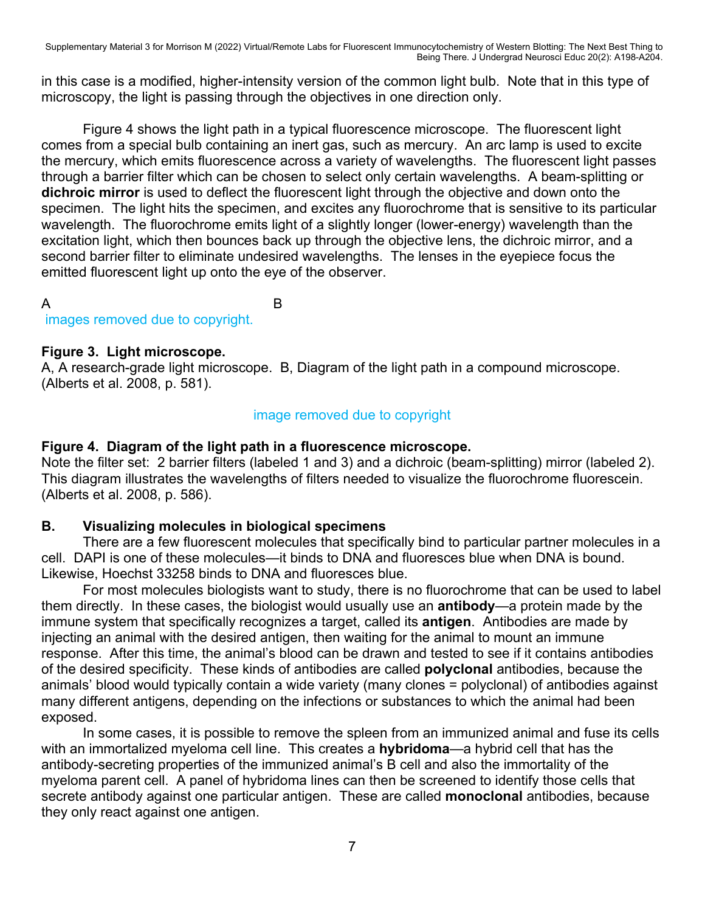in this case is a modified, higher-intensity version of the common light bulb. Note that in this type of microscopy, the light is passing through the objectives in one direction only.

Figure 4 shows the light path in a typical fluorescence microscope. The fluorescent light comes from a special bulb containing an inert gas, such as mercury. An arc lamp is used to excite the mercury, which emits fluorescence across a variety of wavelengths. The fluorescent light passes through a barrier filter which can be chosen to select only certain wavelengths. A beam-splitting or **dichroic mirror** is used to deflect the fluorescent light through the objective and down onto the specimen. The light hits the specimen, and excites any fluorochrome that is sensitive to its particular wavelength. The fluorochrome emits light of a slightly longer (lower-energy) wavelength than the excitation light, which then bounces back up through the objective lens, the dichroic mirror, and a second barrier filter to eliminate undesired wavelengths. The lenses in the eyepiece focus the emitted fluorescent light up onto the eye of the observer.

A B

# **Figure 3. Light microscope.**

images removed due to copyright.

A, A research-grade light microscope. B, Diagram of the light path in a compound microscope. (Alberts et al. 2008, p. 581).

## image removed due to copyright

## **Figure 4. Diagram of the light path in a fluorescence microscope.**

Note the filter set: 2 barrier filters (labeled 1 and 3) and a dichroic (beam-splitting) mirror (labeled 2). This diagram illustrates the wavelengths of filters needed to visualize the fluorochrome fluorescein. (Alberts et al. 2008, p. 586).

## **B. Visualizing molecules in biological specimens**

 There are a few fluorescent molecules that specifically bind to particular partner molecules in a cell. DAPI is one of these molecules—it binds to DNA and fluoresces blue when DNA is bound. Likewise, Hoechst 33258 binds to DNA and fluoresces blue.

 For most molecules biologists want to study, there is no fluorochrome that can be used to label them directly. In these cases, the biologist would usually use an **antibody**—a protein made by the immune system that specifically recognizes a target, called its **antigen**. Antibodies are made by injecting an animal with the desired antigen, then waiting for the animal to mount an immune response. After this time, the animal's blood can be drawn and tested to see if it contains antibodies of the desired specificity. These kinds of antibodies are called **polyclonal** antibodies, because the animals' blood would typically contain a wide variety (many clones = polyclonal) of antibodies against many different antigens, depending on the infections or substances to which the animal had been exposed.

 In some cases, it is possible to remove the spleen from an immunized animal and fuse its cells with an immortalized myeloma cell line. This creates a **hybridoma**—a hybrid cell that has the antibody-secreting properties of the immunized animal's B cell and also the immortality of the myeloma parent cell. A panel of hybridoma lines can then be screened to identify those cells that secrete antibody against one particular antigen. These are called **monoclonal** antibodies, because they only react against one antigen.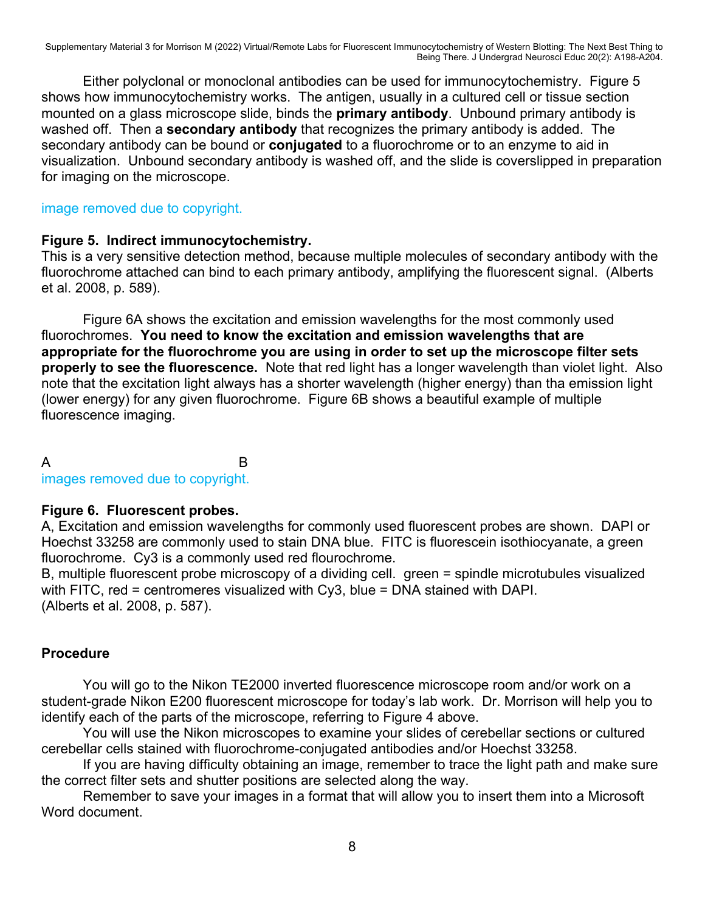Either polyclonal or monoclonal antibodies can be used for immunocytochemistry. Figure 5 shows how immunocytochemistry works. The antigen, usually in a cultured cell or tissue section mounted on a glass microscope slide, binds the **primary antibody**. Unbound primary antibody is washed off. Then a **secondary antibody** that recognizes the primary antibody is added. The secondary antibody can be bound or **conjugated** to a fluorochrome or to an enzyme to aid in visualization. Unbound secondary antibody is washed off, and the slide is coverslipped in preparation for imaging on the microscope.

#### image removed due to copyright.

## **Figure 5. Indirect immunocytochemistry.**

This is a very sensitive detection method, because multiple molecules of secondary antibody with the fluorochrome attached can bind to each primary antibody, amplifying the fluorescent signal. (Alberts et al. 2008, p. 589).

Figure 6A shows the excitation and emission wavelengths for the most commonly used fluorochromes. **You need to know the excitation and emission wavelengths that are appropriate for the fluorochrome you are using in order to set up the microscope filter sets properly to see the fluorescence.** Note that red light has a longer wavelength than violet light. Also note that the excitation light always has a shorter wavelength (higher energy) than tha emission light (lower energy) for any given fluorochrome. Figure 6B shows a beautiful example of multiple fluorescence imaging.

# A B

#### images removed due to copyright.

## **Figure 6. Fluorescent probes.**

A, Excitation and emission wavelengths for commonly used fluorescent probes are shown. DAPI or Hoechst 33258 are commonly used to stain DNA blue. FITC is fluorescein isothiocyanate, a green fluorochrome. Cy3 is a commonly used red flourochrome.

B, multiple fluorescent probe microscopy of a dividing cell. green = spindle microtubules visualized with FITC, red = centromeres visualized with Cy3, blue = DNA stained with DAPI. (Alberts et al. 2008, p. 587).

## **Procedure**

You will go to the Nikon TE2000 inverted fluorescence microscope room and/or work on a student-grade Nikon E200 fluorescent microscope for today's lab work. Dr. Morrison will help you to identify each of the parts of the microscope, referring to Figure 4 above.

You will use the Nikon microscopes to examine your slides of cerebellar sections or cultured cerebellar cells stained with fluorochrome-conjugated antibodies and/or Hoechst 33258.

If you are having difficulty obtaining an image, remember to trace the light path and make sure the correct filter sets and shutter positions are selected along the way.

Remember to save your images in a format that will allow you to insert them into a Microsoft Word document.